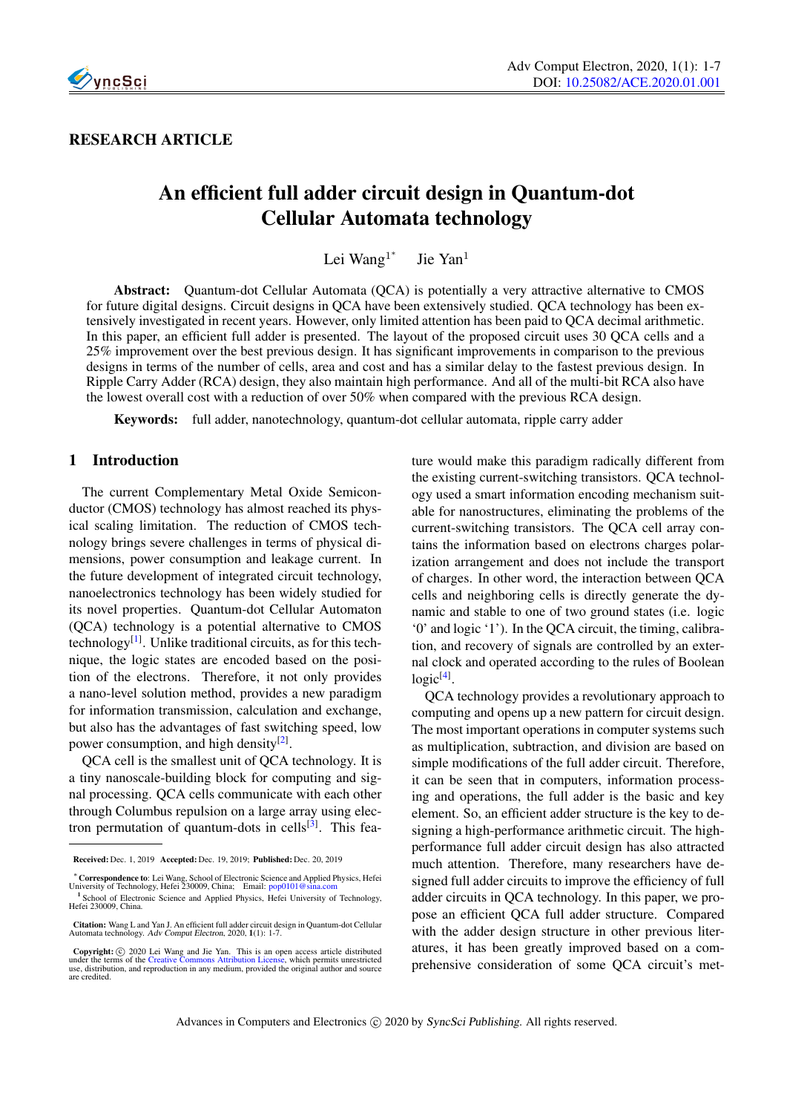

RESEARCH ARTICLE

# An efficient full adder circuit design in Quantum-dot Cellular Automata technology

Lei Wang<sup>1\*</sup> Jie Yan<sup>1</sup>

Abstract: Quantum-dot Cellular Automata (QCA) is potentially a very attractive alternative to CMOS for future digital designs. Circuit designs in QCA have been extensively studied. QCA technology has been extensively investigated in recent years. However, only limited attention has been paid to QCA decimal arithmetic. In this paper, an efficient full adder is presented. The layout of the proposed circuit uses 30 QCA cells and a 25% improvement over the best previous design. It has significant improvements in comparison to the previous designs in terms of the number of cells, area and cost and has a similar delay to the fastest previous design. In Ripple Carry Adder (RCA) design, they also maintain high performance. And all of the multi-bit RCA also have the lowest overall cost with a reduction of over 50% when compared with the previous RCA design.

Keywords: full adder, nanotechnology, quantum-dot cellular automata, ripple carry adder

# 1 Introduction

The current Complementary Metal Oxide Semiconductor (CMOS) technology has almost reached its physical scaling limitation. The reduction of CMOS technology brings severe challenges in terms of physical dimensions, power consumption and leakage current. In the future development of integrated circuit technology, nanoelectronics technology has been widely studied for its novel properties. Quantum-dot Cellular Automaton (QCA) technology is a potential alternative to CMOS technology<sup>[\[1\]](#page-6-0)</sup>. Unlike traditional circuits, as for this technique, the logic states are encoded based on the position of the electrons. Therefore, it not only provides a nano-level solution method, provides a new paradigm for information transmission, calculation and exchange, but also has the advantages of fast switching speed, low power consumption, and high density<sup>[\[2\]](#page-6-1)</sup>.

QCA cell is the smallest unit of QCA technology. It is a tiny nanoscale-building block for computing and signal processing. QCA cells communicate with each other through Columbus repulsion on a large array using elec-tron permutation of quantum-dots in cells<sup>[\[3\]](#page-6-2)</sup>. This feature would make this paradigm radically different from the existing current-switching transistors. QCA technology used a smart information encoding mechanism suitable for nanostructures, eliminating the problems of the current-switching transistors. The QCA cell array contains the information based on electrons charges polarization arrangement and does not include the transport of charges. In other word, the interaction between QCA cells and neighboring cells is directly generate the dynamic and stable to one of two ground states (i.e. logic '0' and logic '1'). In the QCA circuit, the timing, calibration, and recovery of signals are controlled by an external clock and operated according to the rules of Boolean logic<sup>[\[4\]](#page-6-3)</sup>.

QCA technology provides a revolutionary approach to computing and opens up a new pattern for circuit design. The most important operations in computer systems such as multiplication, subtraction, and division are based on simple modifications of the full adder circuit. Therefore, it can be seen that in computers, information processing and operations, the full adder is the basic and key element. So, an efficient adder structure is the key to designing a high-performance arithmetic circuit. The highperformance full adder circuit design has also attracted much attention. Therefore, many researchers have designed full adder circuits to improve the efficiency of full adder circuits in QCA technology. In this paper, we propose an efficient QCA full adder structure. Compared with the adder design structure in other previous literatures, it has been greatly improved based on a comprehensive consideration of some QCA circuit's met-

Received: Dec. 1, 2019 Accepted: Dec. 19, 2019; Published: Dec. 20, 2019

<sup>∗</sup>Correspondence to: Lei Wang, School of Electronic Science and Applied Physics, Hefei University of Technology, Hefei 230009, China; Email: [pop0101@sina.com](mailto: pop0101@sina.com) <sup>1</sup> School of Electronic Science and Applied Physics, Hefei University of Technology, Hefei 230009, China.

Citation: Wang L and Yan J. An efficient full adder circuit design in Quantum-dot Cellular Automata technology. Adv Comput Electron, 2020, 1(1): 1-7.

Copyright: © 2020 Lei Wang and Jie Yan. This is an open access article distributed under the terms of the [Creative Commons Attribution License,](https://creativecommons.org/licenses/by/4.0/) which permits unrestricted use, distribution, and reproduction in any medium, are credited.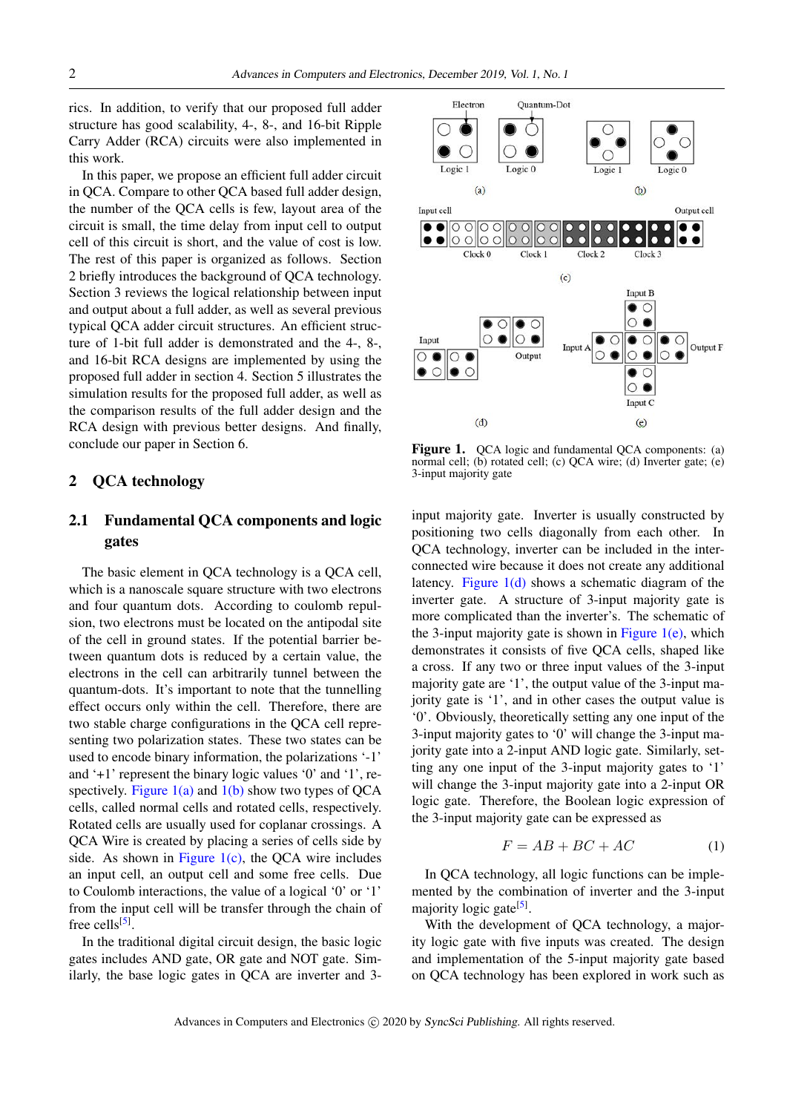rics. In addition, to verify that our proposed full adder structure has good scalability, 4-, 8-, and 16-bit Ripple Carry Adder (RCA) circuits were also implemented in this work.

In this paper, we propose an efficient full adder circuit in QCA. Compare to other QCA based full adder design, the number of the QCA cells is few, layout area of the circuit is small, the time delay from input cell to output cell of this circuit is short, and the value of cost is low. The rest of this paper is organized as follows. Section 2 briefly introduces the background of QCA technology. Section 3 reviews the logical relationship between input and output about a full adder, as well as several previous typical QCA adder circuit structures. An efficient structure of 1-bit full adder is demonstrated and the 4-, 8-, and 16-bit RCA designs are implemented by using the proposed full adder in section 4. Section 5 illustrates the simulation results for the proposed full adder, as well as the comparison results of the full adder design and the RCA design with previous better designs. And finally, conclude our paper in Section 6.

#### 2 QCA technology

# 2.1 Fundamental QCA components and logic gates

The basic element in QCA technology is a QCA cell, which is a nanoscale square structure with two electrons and four quantum dots. According to coulomb repulsion, two electrons must be located on the antipodal site of the cell in ground states. If the potential barrier between quantum dots is reduced by a certain value, the electrons in the cell can arbitrarily tunnel between the quantum-dots. It's important to note that the tunnelling effect occurs only within the cell. Therefore, there are two stable charge configurations in the QCA cell representing two polarization states. These two states can be used to encode binary information, the polarizations '-1' and '+1' represent the binary logic values '0' and '1', respectively. Figure  $1(a)$  and  $1(b)$  show two types of QCA cells, called normal cells and rotated cells, respectively. Rotated cells are usually used for coplanar crossings. A QCA Wire is created by placing a series of cells side by side. As shown in Figure  $1(c)$ , the QCA wire includes an input cell, an output cell and some free cells. Due to Coulomb interactions, the value of a logical '0' or '1' from the input cell will be transfer through the chain of free cells<sup>[\[5\]](#page-6-4)</sup>.

In the traditional digital circuit design, the basic logic gates includes AND gate, OR gate and NOT gate. Similarly, the base logic gates in QCA are inverter and 3-



Figure 1. QCA logic and fundamental QCA components: (a) normal cell; (b) rotated cell; (c) QCA wire; (d) Inverter gate; (e) 3-input majority gate

input majority gate. Inverter is usually constructed by positioning two cells diagonally from each other. In QCA technology, inverter can be included in the interconnected wire because it does not create any additional latency. Figure 1(d) shows a schematic diagram of the inverter gate. A structure of 3-input majority gate is more complicated than the inverter's. The schematic of the 3-input majority gate is shown in Figure  $1(e)$ , which demonstrates it consists of five QCA cells, shaped like a cross. If any two or three input values of the 3-input majority gate are '1', the output value of the 3-input majority gate is '1', and in other cases the output value is '0'. Obviously, theoretically setting any one input of the 3-input majority gates to '0' will change the 3-input majority gate into a 2-input AND logic gate. Similarly, setting any one input of the 3-input majority gates to '1' will change the 3-input majority gate into a 2-input OR logic gate. Therefore, the Boolean logic expression of the 3-input majority gate can be expressed as

$$
F = AB + BC + AC \tag{1}
$$

In QCA technology, all logic functions can be implemented by the combination of inverter and the 3-input majority logic gate<sup>[\[5\]](#page-6-4)</sup>.

With the development of QCA technology, a majority logic gate with five inputs was created. The design and implementation of the 5-input majority gate based on QCA technology has been explored in work such as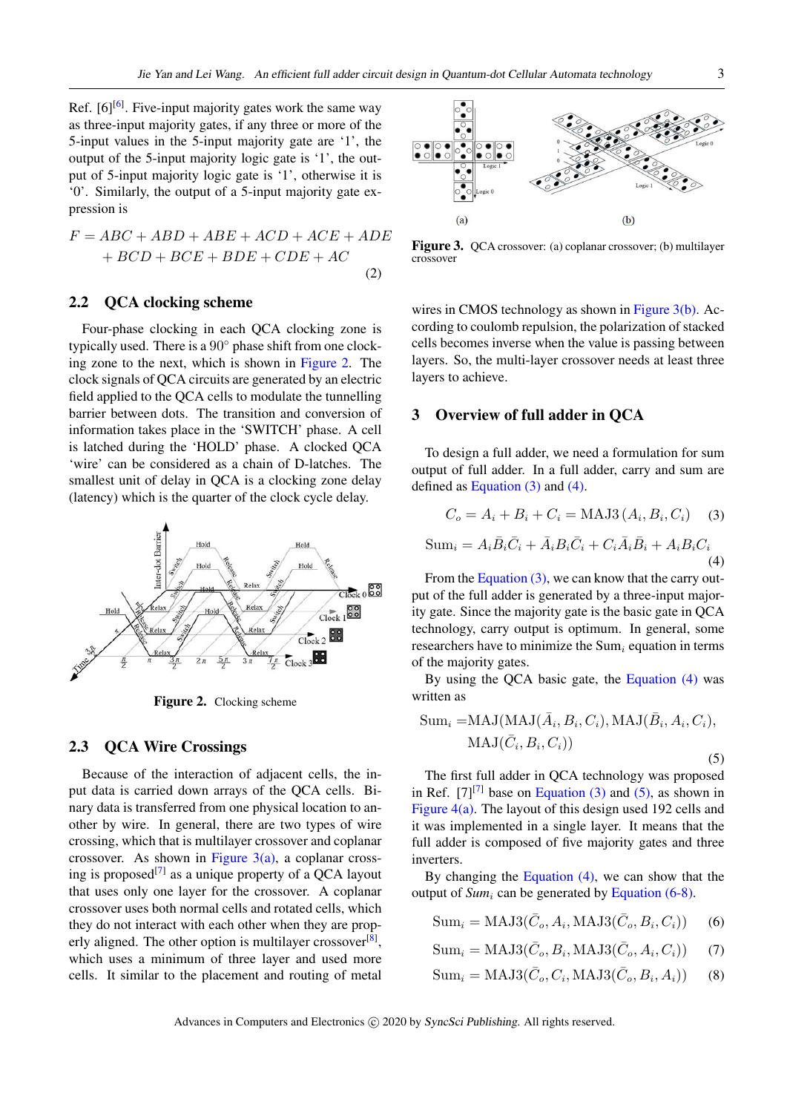Ref.  $[6]^{[6]}$  $[6]^{[6]}$ . Five-input majority gates work the same way as three-input majority gates, if any three or more of the 5-input values in the 5-input majority gate are '1', the output of the 5-input majority logic gate is '1', the output of 5-input majority logic gate is '1', otherwise it is '0'. Similarly, the output of a 5-input majority gate expression is

$$
F = ABC + ABD + ABE + ACD + ACE + ADE
$$

$$
+ BCD + BCE + BDE + CDE + AC
$$
(2)

## 2.2 QCA clocking scheme

Four-phase clocking in each QCA clocking zone is typically used. There is a 90◦ phase shift from one clocking zone to the next, which is shown in Figure 2. The clock signals of QCA circuits are generated by an electric field applied to the QCA cells to modulate the tunnelling barrier between dots. The transition and conversion of information takes place in the 'SWITCH' phase. A cell is latched during the 'HOLD' phase. A clocked QCA 'wire' can be considered as a chain of D-latches. The smallest unit of delay in QCA is a clocking zone delay (latency) which is the quarter of the clock cycle delay.



Figure 2. Clocking scheme

## 2.3 QCA Wire Crossings

Because of the interaction of adjacent cells, the input data is carried down arrays of the QCA cells. Binary data is transferred from one physical location to another by wire. In general, there are two types of wire crossing, which that is multilayer crossover and coplanar crossover. As shown in Figure  $3(a)$ , a coplanar crossing is proposed $[7]$  as a unique property of a QCA layout that uses only one layer for the crossover. A coplanar crossover uses both normal cells and rotated cells, which they do not interact with each other when they are prop-erly aligned. The other option is multilayer crossover<sup>[\[8\]](#page-6-7)</sup>, which uses a minimum of three layer and used more cells. It similar to the placement and routing of metal



Figure 3. QCA crossover: (a) coplanar crossover; (b) multilayer crossover

wires in CMOS technology as shown in Figure 3(b). According to coulomb repulsion, the polarization of stacked cells becomes inverse when the value is passing between layers. So, the multi-layer crossover needs at least three layers to achieve.

### 3 Overview of full adder in QCA

To design a full adder, we need a formulation for sum output of full adder. In a full adder, carry and sum are defined as Equation (3) and (4).

$$
C_o = A_i + B_i + C_i = \text{MAJ3}(A_i, B_i, C_i) \quad (3)
$$

$$
\text{Sum}_i = A_i \overline{B}_i \overline{C}_i + \overline{A}_i B_i \overline{C}_i + C_i \overline{A}_i \overline{B}_i + A_i B_i C_i \quad (4)
$$

From the Equation (3), we can know that the carry output of the full adder is generated by a three-input majority gate. Since the majority gate is the basic gate in QCA technology, carry output is optimum. In general, some researchers have to minimize the Sum, equation in terms of the majority gates.

By using the QCA basic gate, the Equation (4) was written as

Sum<sub>i</sub> =MAJ(MAJ(
$$
\bar{A}_i, B_i, C_i
$$
), MAJ( $\bar{B}_i, A_i, C_i$ ),  
MAJ( $\bar{C}_i, B_i, C_i$ )) (5)

The first full adder in QCA technology was proposed in Ref.  $[7]^{[7]}$  $[7]^{[7]}$  base on Equation (3) and (5), as shown in Figure 4(a). The layout of this design used 192 cells and it was implemented in a single layer. It means that the full adder is composed of five majority gates and three inverters.

By changing the Equation  $(4)$ , we can show that the output of *Sum<sub>i</sub>* can be generated by Equation (6-8).

$$
Sum_i = MAJ3(\bar{C}_o, A_i, MAJ3(\bar{C}_o, B_i, C_i))
$$
 (6)

$$
Sum_i = MAJ3(\bar{C}_o, B_i, MAJ3(\bar{C}_o, A_i, C_i)) \tag{7}
$$

$$
Sum_i = MAJ3(\bar{C}_o, C_i, MAJ3(\bar{C}_o, B_i, A_i))
$$
 (8)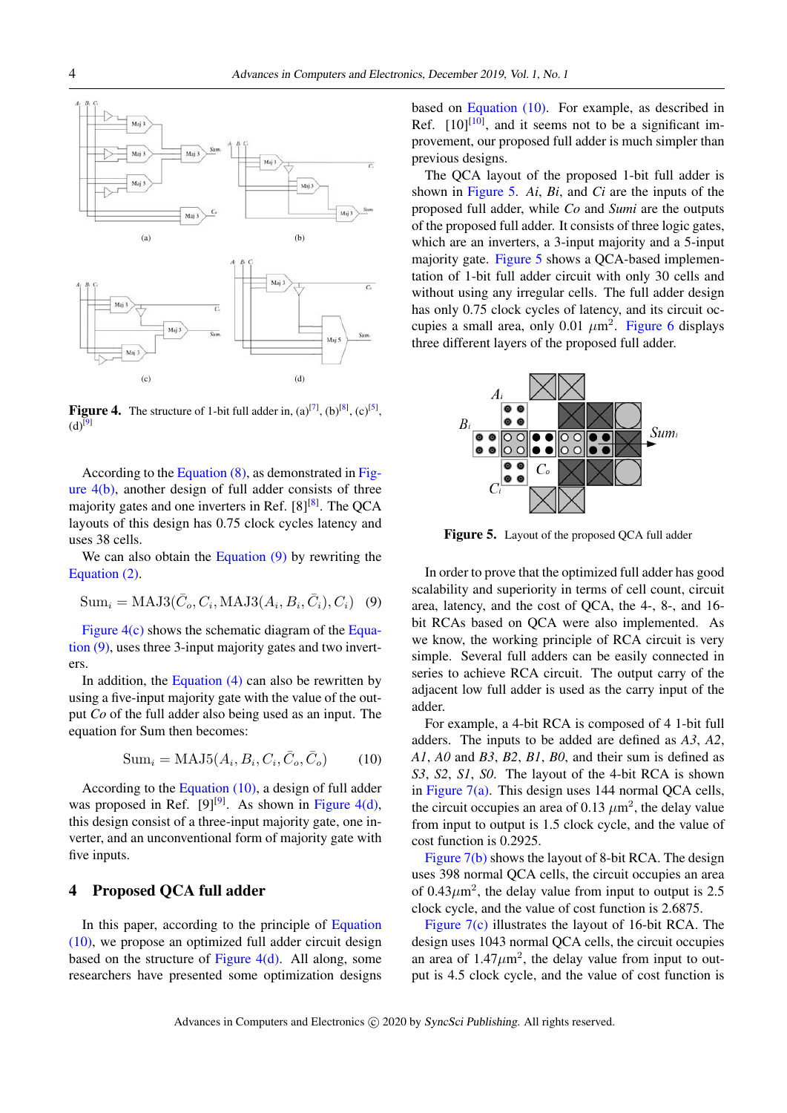

**Figure 4.** The structure of 1-bit full adder in,  $(a)^{[7]}$  $(a)^{[7]}$  $(a)^{[7]}$ ,  $(b)^{[8]}$  $(b)^{[8]}$  $(b)^{[8]}$ ,  $(c)^{[5]}$  $(c)^{[5]}$  $(c)^{[5]}$ ,  $(d)^{[9]}$  $(d)^{[9]}$  $(d)^{[9]}$ 

According to the Equation (8), as demonstrated in Figure 4(b), another design of full adder consists of three majority gates and one inverters in Ref. [\[8\]](#page-6-7)<sup>[8]</sup>. The QCA layouts of this design has 0.75 clock cycles latency and uses 38 cells.

We can also obtain the Equation (9) by rewriting the Equation (2).

$$
Sumi = MAJ3(\bar{C}o, Ci, MAJ3(Ai, Bi, \bar{C}i), Ci) (9)
$$

Figure 4(c) shows the schematic diagram of the Equation (9), uses three 3-input majority gates and two inverters.

In addition, the Equation (4) can also be rewritten by using a five-input majority gate with the value of the output *Co* of the full adder also being used as an input. The equation for Sum then becomes:

$$
\text{Sum}_i = \text{MAJ5}(A_i, B_i, C_i, \bar{C}_o, \bar{C}_o) \tag{10}
$$

According to the Equation (10), a design of full adder was proposed in Ref.  $[9]^{[9]}$  $[9]^{[9]}$ . As shown in Figure 4(d), this design consist of a three-input majority gate, one inverter, and an unconventional form of majority gate with five inputs.

# 4 Proposed QCA full adder

In this paper, according to the principle of Equation (10), we propose an optimized full adder circuit design based on the structure of Figure 4(d). All along, some researchers have presented some optimization designs based on Equation (10). For example, as described in Ref.  $[10]^{[10]}$  $[10]^{[10]}$ , and it seems not to be a significant improvement, our proposed full adder is much simpler than previous designs.

The QCA layout of the proposed 1-bit full adder is shown in Figure 5. *Ai*, *Bi*, and *Ci* are the inputs of the proposed full adder, while *Co* and *Sumi* are the outputs of the proposed full adder. It consists of three logic gates, which are an inverters, a 3-input majority and a 5-input majority gate. Figure 5 shows a QCA-based implementation of 1-bit full adder circuit with only 30 cells and without using any irregular cells. The full adder design has only 0.75 clock cycles of latency, and its circuit occupies a small area, only 0.01  $\mu$ m<sup>2</sup>. [Figure 6](#page-4-0) displays three different layers of the proposed full adder.



Figure 5. Layout of the proposed QCA full adder

In order to prove that the optimized full adder has good scalability and superiority in terms of cell count, circuit area, latency, and the cost of QCA, the 4-, 8-, and 16 bit RCAs based on QCA were also implemented. As we know, the working principle of RCA circuit is very simple. Several full adders can be easily connected in series to achieve RCA circuit. The output carry of the adjacent low full adder is used as the carry input of the adder.

For example, a 4-bit RCA is composed of 4 1-bit full adders. The inputs to be added are defined as *A3*, *A2*, *A1*, *A0* and *B3*, *B2*, *B1*, *B0*, and their sum is defined as *S3*, *S2*, *S1*, *S0*. The layout of the 4-bit RCA is shown in [Figure 7\(a\).](#page-4-1) This design uses 144 normal QCA cells, the circuit occupies an area of 0.13  $\mu$ m<sup>2</sup>, the delay value from input to output is 1.5 clock cycle, and the value of cost function is 0.2925.

[Figure 7\(b\)](#page-4-1) shows the layout of 8-bit RCA. The design uses 398 normal QCA cells, the circuit occupies an area of  $0.43 \mu m^2$ , the delay value from input to output is 2.5 clock cycle, and the value of cost function is 2.6875.

[Figure 7\(c\)](#page-4-1) illustrates the layout of 16-bit RCA. The design uses 1043 normal QCA cells, the circuit occupies an area of  $1.47 \mu m^2$ , the delay value from input to output is 4.5 clock cycle, and the value of cost function is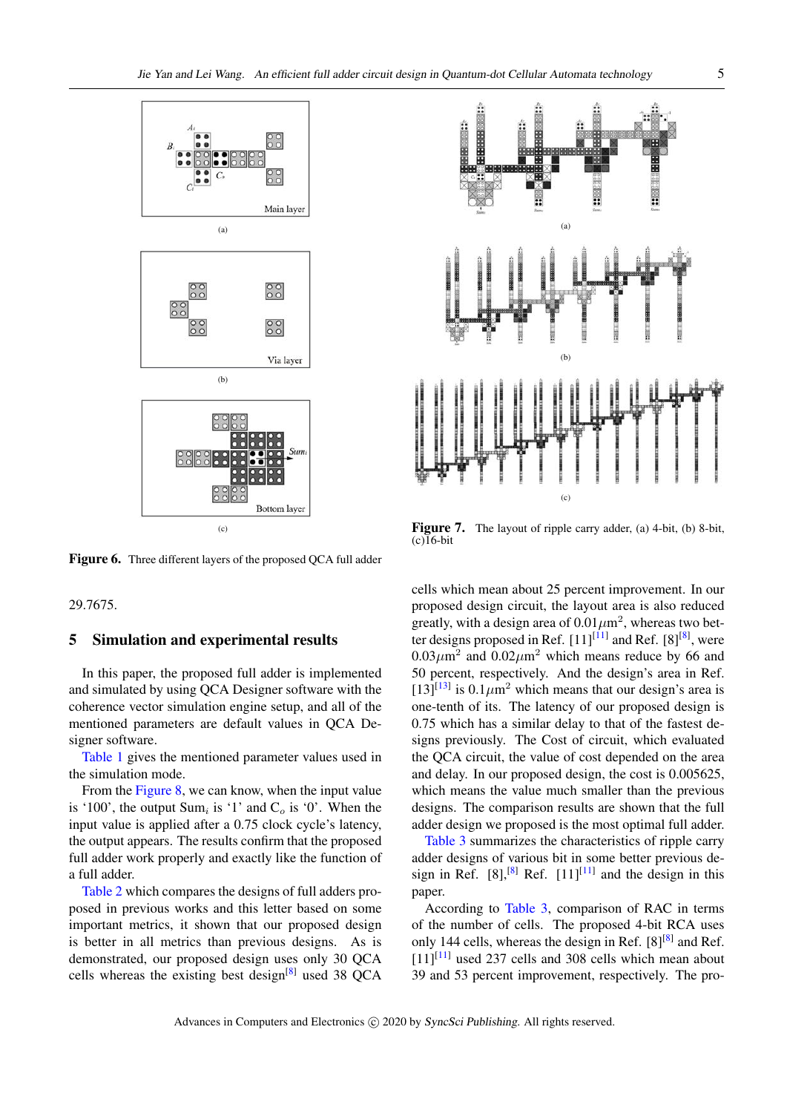

<span id="page-4-0"></span>Figure 6. Three different layers of the proposed QCA full adder

29.7675.

#### 5 Simulation and experimental results

In this paper, the proposed full adder is implemented and simulated by using QCA Designer software with the coherence vector simulation engine setup, and all of the mentioned parameters are default values in QCA Designer software.

Table 1 gives the mentioned parameter values used in the simulation mode.

From the Figure 8, we can know, when the input value is '100', the output Sum<sub>i</sub> is '1' and  $C_o$  is '0'. When the input value is applied after a 0.75 clock cycle's latency, the output appears. The results confirm that the proposed full adder work properly and exactly like the function of a full adder.

Table 2 which compares the designs of full adders proposed in previous works and this letter based on some important metrics, it shown that our proposed design is better in all metrics than previous designs. As is demonstrated, our proposed design uses only 30 QCA cells whereas the existing best design<sup>[\[8\]](#page-6-7)</sup> used 38 QCA



<span id="page-4-1"></span>Figure 7. The layout of ripple carry adder, (a) 4-bit, (b) 8-bit,  $(c)$ <sup>16</sup>-bit

cells which mean about 25 percent improvement. In our proposed design circuit, the layout area is also reduced greatly, with a design area of  $0.01 \mu m^2$ , whereas two better designs proposed in Ref.  $[11]^{[11]}$  $[11]^{[11]}$  and Ref.  $[8]^{[8]}$  $[8]^{[8]}$ , were  $0.03 \mu m^2$  and  $0.02 \mu m^2$  which means reduce by 66 and 50 percent, respectively. And the design's area in Ref.  $[13]^{[13]}$  $[13]^{[13]}$  is  $0.1 \mu m^2$  which means that our design's area is one-tenth of its. The latency of our proposed design is 0.75 which has a similar delay to that of the fastest designs previously. The Cost of circuit, which evaluated the QCA circuit, the value of cost depended on the area and delay. In our proposed design, the cost is 0.005625, which means the value much smaller than the previous designs. The comparison results are shown that the full adder design we proposed is the most optimal full adder.

Table 3 summarizes the characteristics of ripple carry adder designs of various bit in some better previous design in Ref.  $[8]$ ,<sup>[8]</sup> Ref.  $[11]$ <sup>[11]</sup> and the design in this paper.

According to Table 3, comparison of RAC in terms of the number of cells. The proposed 4-bit RCA uses only 144 cells, whereas the design in Ref. [\[8\]](#page-6-7)<sup>[8]</sup> and Ref.  $[11]^{[11]}$  $[11]^{[11]}$  used 237 cells and 308 cells which mean about 39 and 53 percent improvement, respectively. The pro-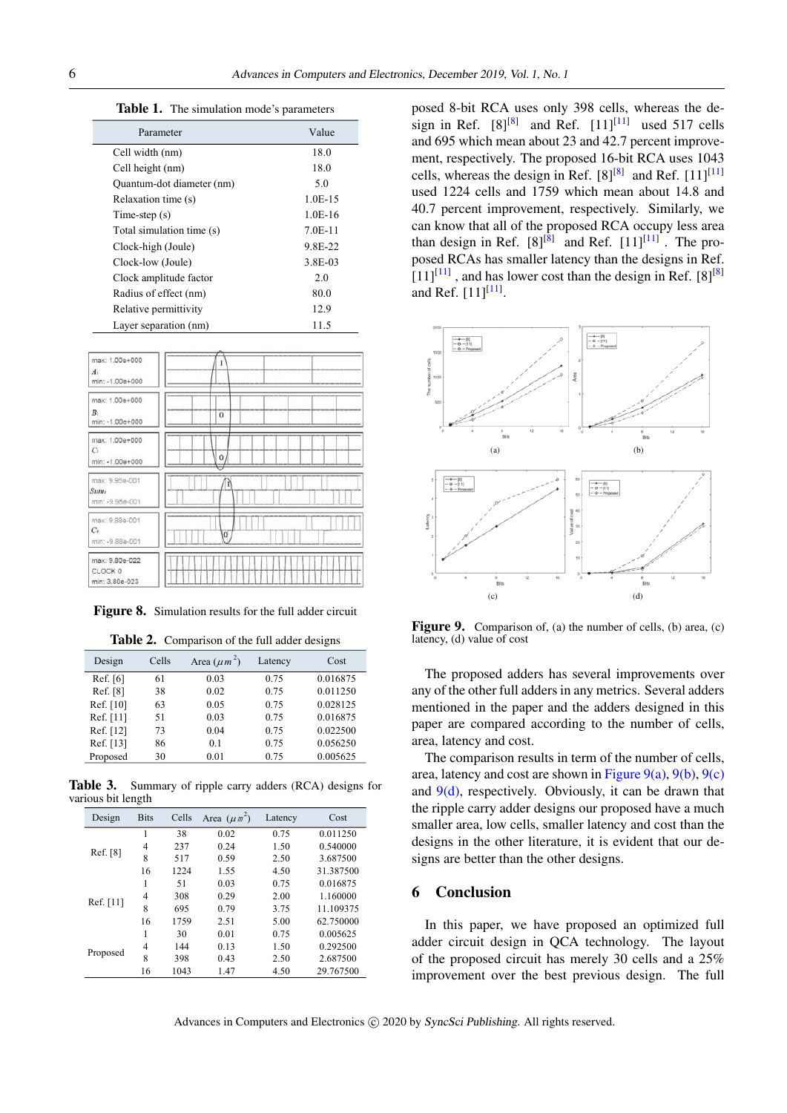Table 1. The simulation mode's parameters

| Parameter                 | Value     |
|---------------------------|-----------|
| Cell width (nm)           | 18.0      |
| Cell height (nm)          | 18.0      |
| Quantum-dot diameter (nm) | 5.0       |
| Relaxation time (s)       | $1.0E-15$ |
| Time-step $(s)$           | $1.0E-16$ |
| Total simulation time (s) | $7.0E-11$ |
| Clock-high (Joule)        | 9.8E-22   |
| Clock-low (Joule)         | 3.8E-03   |
| Clock amplitude factor    | 2.0       |
| Radius of effect (nm)     | 80.0      |
| Relative permittivity     | 12.9      |
| Layer separation (nm)     | 11.5      |

| max: 1.00e+000<br>A <sub>i</sub><br>min: -1.00e+000    | 1        |
|--------------------------------------------------------|----------|
| max: 1.00e+000<br>$B_i$<br>min: -1.00e+000             | $\theta$ |
| max: 1.00e+000<br>C <sub>i</sub><br>min: -1.00e+000    | $\theta$ |
| max: 9.95e-001<br>Sum <sub>1</sub><br>min: -9.95e-001  | I        |
| max: 9.88e-001<br>C <sub>o</sub><br>min: -9.88e-001    | $\alpha$ |
| max: 9.80e-022<br>CLOCK <sub>0</sub><br>min: 3.80e-023 |          |

Figure 8. Simulation results for the full adder circuit

|  | Table 2. Comparison of the full adder designs |  |  |  |
|--|-----------------------------------------------|--|--|--|
|--|-----------------------------------------------|--|--|--|

| Design    | Cells | Area $(\mu m^2)$ | Latency | Cost     |
|-----------|-------|------------------|---------|----------|
| Ref. [6]  | 61    | 0.03             | 0.75    | 0.016875 |
| Ref. [8]  | 38    | 0.02             | 0.75    | 0.011250 |
| Ref. [10] | 63    | 0.05             | 0.75    | 0.028125 |
| Ref. [11] | 51    | 0.03             | 0.75    | 0.016875 |
| Ref. [12] | 73    | 0.04             | 0.75    | 0.022500 |
| Ref. [13] | 86    | 0.1              | 0.75    | 0.056250 |
| Proposed  | 30    | 0.01             | 0.75    | 0.005625 |

Table 3. Summary of ripple carry adders (RCA) designs for various bit length

| Design    | <b>Bits</b>    | Cells | Area $(\mu \pi^2)$ | Latency | Cost      |
|-----------|----------------|-------|--------------------|---------|-----------|
| Ref. [8]  | 1              | 38    | 0.02               | 0.75    | 0.011250  |
|           | $\overline{4}$ | 237   | 0.24               | 1.50    | 0.540000  |
|           | 8              | 517   | 0.59               | 2.50    | 3.687500  |
|           | 16             | 1224  | 1.55               | 4.50    | 31.387500 |
| Ref. [11] | 1              | 51    | 0.03               | 0.75    | 0.016875  |
|           | $\overline{4}$ | 308   | 0.29               | 2.00    | 1.160000  |
|           | 8              | 695   | 0.79               | 3.75    | 11.109375 |
|           | 16             | 1759  | 2.51               | 5.00    | 62.750000 |
| Proposed  | 1              | 30    | 0.01               | 0.75    | 0.005625  |
|           | $\overline{4}$ | 144   | 0.13               | 1.50    | 0.292500  |
|           | 8              | 398   | 0.43               | 2.50    | 2.687500  |
|           | 16             | 1043  | 1.47               | 4.50    | 29.767500 |

posed 8-bit RCA uses only 398 cells, whereas the design in Ref.  $[8]^{[8]}$  $[8]^{[8]}$  and Ref.  $[11]^{[11]}$  $[11]^{[11]}$  used 517 cells and 695 which mean about 23 and 42.7 percent improvement, respectively. The proposed 16-bit RCA uses 1043 cells, whereas the design in Ref.  $[8]^{[8]}$  $[8]^{[8]}$  and Ref.  $[11]^{[11]}$  $[11]^{[11]}$ used 1224 cells and 1759 which mean about 14.8 and 40.7 percent improvement, respectively. Similarly, we can know that all of the proposed RCA occupy less area than design in Ref.  $[8]^{[8]}$  $[8]^{[8]}$  and Ref.  $[11]^{[11]}$  $[11]^{[11]}$ . The proposed RCAs has smaller latency than the designs in Ref.  $[11]^{[11]}$  $[11]^{[11]}$ , and has lower cost than the design in Ref.  $[8]^{[8]}$  $[8]^{[8]}$ and Ref.  $[11]^{[11]}$  $[11]^{[11]}$ .



Figure 9. Comparison of, (a) the number of cells, (b) area, (c) latency, (d) value of cost

The proposed adders has several improvements over any of the other full adders in any metrics. Several adders mentioned in the paper and the adders designed in this paper are compared according to the number of cells, area, latency and cost.

The comparison results in term of the number of cells, area, latency and cost are shown in Figure  $9(a)$ ,  $9(b)$ ,  $9(c)$ and  $9(d)$ , respectively. Obviously, it can be drawn that the ripple carry adder designs our proposed have a much smaller area, low cells, smaller latency and cost than the designs in the other literature, it is evident that our designs are better than the other designs.

# 6 Conclusion

In this paper, we have proposed an optimized full adder circuit design in QCA technology. The layout of the proposed circuit has merely 30 cells and a 25% improvement over the best previous design. The full

Advances in Computers and Electronics (c) 2020 by SyncSci Publishing. All rights reserved.